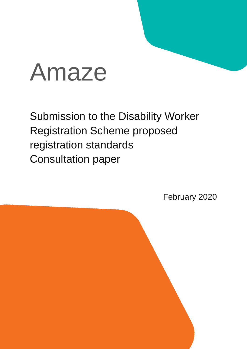# Amaze

Submission to the Disability Worker Registration Scheme proposed registration standards Consultation paper

February 2020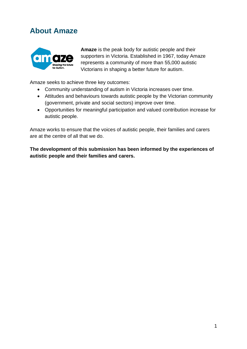# **About Amaze**



**Amaze** is the peak body for autistic people and their supporters in Victoria. Established in 1967, today Amaze represents a community of more than 55,000 autistic Victorians in shaping a better future for autism.

Amaze seeks to achieve three key outcomes:

- Community understanding of autism in Victoria increases over time.
- Attitudes and behaviours towards autistic people by the Victorian community (government, private and social sectors) improve over time.
- Opportunities for meaningful participation and valued contribution increase for autistic people.

Amaze works to ensure that the voices of autistic people, their families and carers are at the centre of all that we do.

**The development of this submission has been informed by the experiences of autistic people and their families and carers.**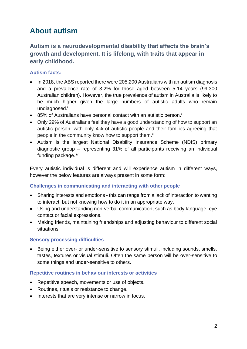# **About autism**

**Autism is a neurodevelopmental disability that affects the brain's growth and development. It is lifelong, with traits that appear in early childhood.** 

### **Autism facts:**

- In 2018, the ABS reported there were 205,200 Australians with an autism diagnosis and a prevalence rate of 3.2% for those aged between 5-14 years (99,300 Australian children). However, the true prevalence of autism in Australia is likely to be much higher given the large numbers of autistic adults who remain undiagnosed.<sup>i</sup>
- $\bullet$  85% of Australians have personal contact with an autistic person.<sup>ii</sup>
- Only 29% of Australians feel they have a good understanding of how to support an autistic person, with only 4% of autistic people and their families agreeing that people in the community know how to support them.<sup>iii</sup>
- Autism is the largest National Disability Insurance Scheme (NDIS) primary diagnostic group – representing 31% of all participants receiving an individual funding package.  $iv$

Every autistic individual is different and will experience autism in different ways, however the below features are always present in some form:

#### **Challenges in communicating and interacting with other people**

- Sharing interests and emotions this can range from a lack of interaction to wanting to interact, but not knowing how to do it in an appropriate way.
- Using and understanding non-verbal communication, such as body language, eye contact or facial expressions.
- Making friends, maintaining friendships and adjusting behaviour to different social situations.

#### **Sensory processing difficulties**

• Being either over- or under-sensitive to sensory stimuli, including sounds, smells, tastes, textures or visual stimuli. Often the same person will be over-sensitive to some things and under-sensitive to others.

#### **Repetitive routines in behaviour interests or activities**

- Repetitive speech, movements or use of objects.
- Routines, rituals or resistance to change.
- Interests that are very intense or narrow in focus.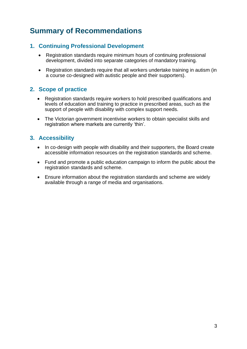# **Summary of Recommendations**

## **1. Continuing Professional Development**

- Registration standards require minimum hours of continuing professional development, divided into separate categories of mandatory training.
- Registration standards require that all workers undertake training in autism (in a course co-designed with autistic people and their supporters).

# **2. Scope of practice**

- Registration standards require workers to hold prescribed qualifications and levels of education and training to practice in prescribed areas, such as the support of people with disability with complex support needs.
- The Victorian government incentivise workers to obtain specialist skills and registration where markets are currently 'thin'.

# **3. Accessibility**

- In co-design with people with disability and their supporters, the Board create accessible information resources on the registration standards and scheme.
- Fund and promote a public education campaign to inform the public about the registration standards and scheme.
- Ensure information about the registration standards and scheme are widely available through a range of media and organisations.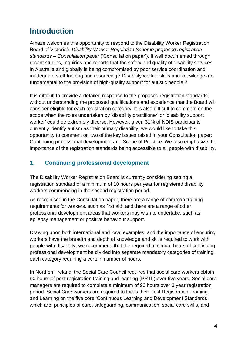# **Introduction**

Amaze welcomes this opportunity to respond to the Disability Worker Registration Board of Victoria's *Disability Worker Regulation Scheme proposed registration standards – Consultation paper* ('Consultation paper'). It well documented through recent studies, inquiries and reports that the safety and quality of disability services in Australia and globally is being compromised by poor service coordination and inadequate staff training and resourcing. "Disability worker skills and knowledge are fundamental to the provision of high-quality support for autistic people.<sup>vi</sup>

It is difficult to provide a detailed response to the proposed registration standards, without understanding the proposed qualifications and experience that the Board will consider eligible for each registration category. It is also difficult to comment on the scope when the roles undertaken by 'disability practitioner' or 'disability support worker' could be extremely diverse. However, given 31% of NDIS participants currently identify autism as their primary disability, we would like to take this opportunity to comment on two of the key issues raised in your Consultation paper: Continuing professional development and Scope of Practice. We also emphasize the importance of the registration standards being accessible to all people with disability.

# **1. Continuing professional development**

The Disability Worker Registration Board is currently considering setting a registration standard of a minimum of 10 hours per year for registered disability workers commencing in the second registration period.

As recognised in the Consultation paper, there are a range of common training requirements for workers, such as first aid, and there are a range of other professional development areas that workers may wish to undertake, such as epilepsy management or positive behaviour support.

Drawing upon both international and local examples, and the importance of ensuring workers have the breadth and depth of knowledge and skills required to work with people with disability, we recommend that the required minimum hours of continuing professional development be divided into separate mandatory categories of training, each category requiring a certain number of hours.

In Northern Ireland, the Social Care Council requires that social care workers obtain 90 hours of post registration training and learning (PRTL) over five years. Social care managers are required to complete a minimum of 90 hours over 3 year registration period. Social Care workers are required to focus their Post Registration Training and Learning on the five core 'Continuous Learning and Development Standards which are: principles of care, safeguarding, communication, social care skills, and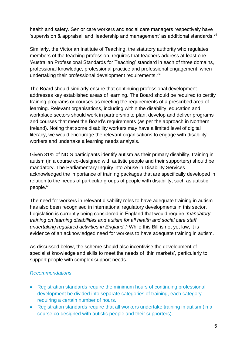health and safety. Senior care workers and social care managers respectively have 'supervision & appraisal' and 'leadership and management' as additional standards.<sup>vii</sup>

Similarly, the Victorian Institute of Teaching, the statutory authority who regulates members of the teaching profession, requires that teachers address at least one 'Australian Professional Standards for Teaching' standard in each of three domains, professional knowledge, professional practice and professional engagement, when undertaking their professional development requirements.<sup>viii</sup>

The Board should similarly ensure that continuing professional development addresses key established areas of learning. The Board should be required to certify training programs or courses as meeting the requirements of a prescribed area of learning. Relevant organisations, including within the disability, education and workplace sectors should work in partnership to plan, develop and deliver programs and courses that meet the Board's requirements (as per the approach in Northern Ireland). Noting that some disability workers may have a limited level of digital literacy, we would encourage the relevant organisations to engage with disability workers and undertake a learning needs analysis.

Given 31% of NDIS participants identify autism as their primary disability, training in autism (in a course co-designed with autistic people and their supporters) should be mandatory. The Parliamentary Inquiry into Abuse in Disability Services acknowledged the importance of training packages that are specifically developed in relation to the needs of particular groups of people with disability, such as autistic people.<sup>ix</sup>

The need for workers in relevant disability roles to have adequate training in autism has also been recognised in international regulatory developments in this sector. Legislation is currently being considered in England that would require '*mandatory training on learning disabilities and autism for all health and social care staff undertaking regulated activities in England*'. <sup>x</sup> While this Bill is not yet law, it is evidence of an acknowledged need for workers to have adequate training in autism.

As discussed below, the scheme should also incentivise the development of specialist knowledge and skills to meet the needs of 'thin markets', particularly to support people with complex support needs.

#### *Recommendations*

- Registration standards require the minimum hours of continuing professional development be divided into separate categories of training, each category requiring a certain number of hours.
- Registration standards require that all workers undertake training in autism (in a course co-designed with autistic people and their supporters).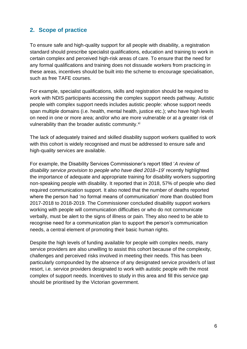# **2. Scope of practice**

To ensure safe and high-quality support for all people with disability, a registration standard should prescribe specialist qualifications, education and training to work in certain complex and perceived high-risk areas of care. To ensure that the need for any formal qualifications and training does not dissuade workers from practicing in these areas, incentives should be built into the scheme to encourage specialisation, such as free TAFE courses.

For example, specialist qualifications, skills and registration should be required to work with NDIS participants accessing the complex support needs pathway. Autistic people with complex support needs includes autistic people: whose support needs span multiple domains (i.e. health, mental health, justice etc.); who have high levels on need in one or more area; and/or who are more vulnerable or at a greater risk of vulnerability than the broader autistic community.<sup>xi</sup>

The lack of adequately trained and skilled disability support workers qualified to work with this cohort is widely recognised and must be addressed to ensure safe and high-quality services are available.

For example, the Disability Services Commissioner's report titled '*A review of disability service provision to people who have died 2018–19*' recently highlighted the importance of adequate and appropriate training for disability workers supporting non-speaking people with disability. It reported that in 2018, 57% of people who died required communication support. It also noted that the number of deaths reported where the person had 'no formal means of communication' more than doubled from 2017-2018 to 2018-2019. The Commissioner concluded disability support workers working with people will communication difficulties or who do not communicate verbally, must be alert to the signs of illness or pain. They also need to be able to recognise need for a communication plan to support the person's communication needs, a central element of promoting their basic human rights.

Despite the high levels of funding available for people with complex needs, many service providers are also unwilling to assist this cohort because of the complexity, challenges and perceived risks involved in meeting their needs. This has been particularly compounded by the absence of any designated service provider/s of last resort, i.e. service providers designated to work with autistic people with the most complex of support needs. Incentives to study in this area and fill this service gap should be prioritised by the Victorian government.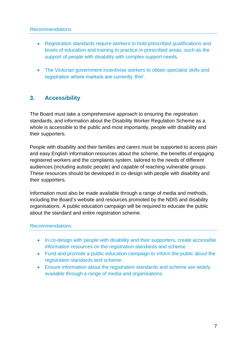#### *Recommendations*

- Registration standards require workers to hold prescribed qualifications and levels of education and training to practice in prescribed areas, such as the support of people with disability with complex support needs.
- The Victorian government incentivise workers to obtain specialist skills and registration where markets are currently 'thin'.

## **3. Accessibility**

The Board must take a comprehensive approach to ensuring the registration standards, and information about the Disability Worker Regulation Scheme as a whole is accessible to the public and most importantly, people with disability and their supporters.

People with disability and their families and carers must be supported to access plain and easy English information resources about the scheme, the benefits of engaging registered workers and the complaints system, tailored to the needs of different audiences (including autistic people) and capable of reaching vulnerable groups. These resources should be developed in co-design with people with disability and their supporters.

Information must also be made available through a range of media and methods, including the Board's website and resources promoted by the NDIS and disability organisations. A public education campaign will be required to educate the public about the standard and entire registration scheme.

#### *Recommendations*

- In co-design with people with disability and their supporters, create accessible information resources on the registration standards and scheme.
- Fund and promote a public education campaign to inform the public about the registration standards and scheme.
- Ensure information about the registration standards and scheme are widely available through a range of media and organisations.